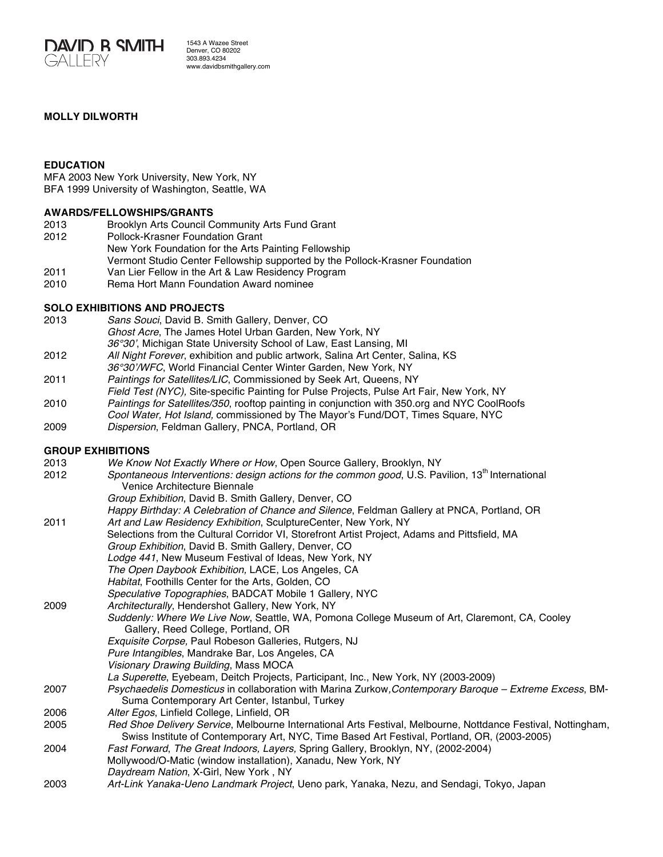

1543 A Wazee Street Denver, CO 80202 303.893.4234 www.davidbsmithgallery.com

### **MOLLY DILWORTH**

#### **EDUCATION**

MFA 2003 New York University, New York, NY BFA 1999 University of Washington, Seattle, WA

#### **AWARDS/FELLOWSHIPS/GRANTS**

- 2013 Brooklyn Arts Council Community Arts Fund Grant
- 2012 Pollock-Krasner Foundation Grant
- New York Foundation for the Arts Painting Fellowship
	- Vermont Studio Center Fellowship supported by the Pollock-Krasner Foundation
- 2011 Van Lier Fellow in the Art & Law Residency Program
- 2010 Rema Hort Mann Foundation Award nominee

#### **SOLO EXHIBITIONS AND PROJECTS**

- 2013 *Sans Souci*, David B. Smith Gallery, Denver, CO *Ghost Acre*, The James Hotel Urban Garden, New York, NY *36°30'*, Michigan State University School of Law, East Lansing, MI
- 2012 *All Night Forever*, exhibition and public artwork, Salina Art Center, Salina, KS
- *36°30'/WFC*, World Financial Center Winter Garden, New York, NY
- 2011 *Paintings for Satellites/LIC*, Commissioned by Seek Art, Queens, NY
- *Field Test (NYC),* Site-specific Painting for Pulse Projects, Pulse Art Fair, New York, NY
- 2010 *Paintings for Satellites/350*, rooftop painting in conjunction with 350.org and NYC CoolRoofs
- *Cool Water, Hot Island,* commissioned by The Mayor's Fund/DOT, Times Square, NYC
- 2009 *Dispersion*, Feldman Gallery, PNCA, Portland, OR

# **GROUP EXHIBITIONS**

| 2013 | We Know Not Exactly Where or How, Open Source Gallery, Brooklyn, NY                                                                                                                                          |
|------|--------------------------------------------------------------------------------------------------------------------------------------------------------------------------------------------------------------|
| 2012 | Spontaneous Interventions: design actions for the common good, U.S. Pavilion, 13 <sup>th</sup> International<br>Venice Architecture Biennale                                                                 |
|      | Group Exhibition, David B. Smith Gallery, Denver, CO                                                                                                                                                         |
|      | Happy Birthday: A Celebration of Chance and Silence, Feldman Gallery at PNCA, Portland, OR                                                                                                                   |
| 2011 | Art and Law Residency Exhibition, SculptureCenter, New York, NY                                                                                                                                              |
|      | Selections from the Cultural Corridor VI, Storefront Artist Project, Adams and Pittsfield, MA                                                                                                                |
|      | Group Exhibition, David B. Smith Gallery, Denver, CO                                                                                                                                                         |
|      | Lodge 441, New Museum Festival of Ideas, New York, NY                                                                                                                                                        |
|      | The Open Daybook Exhibition, LACE, Los Angeles, CA                                                                                                                                                           |
|      | Habitat, Foothills Center for the Arts, Golden, CO                                                                                                                                                           |
|      | Speculative Topographies, BADCAT Mobile 1 Gallery, NYC                                                                                                                                                       |
| 2009 | Architecturally, Hendershot Gallery, New York, NY                                                                                                                                                            |
|      | Suddenly: Where We Live Now, Seattle, WA, Pomona College Museum of Art, Claremont, CA, Cooley<br>Gallery, Reed College, Portland, OR                                                                         |
|      | Exquisite Corpse, Paul Robeson Galleries, Rutgers, NJ                                                                                                                                                        |
|      | Pure Intangibles, Mandrake Bar, Los Angeles, CA                                                                                                                                                              |
|      | Visionary Drawing Building, Mass MOCA                                                                                                                                                                        |
|      | La Superette, Eyebeam, Deitch Projects, Participant, Inc., New York, NY (2003-2009)                                                                                                                          |
| 2007 | Psychaedelis Domesticus in collaboration with Marina Zurkow, Contemporary Baroque - Extreme Excess, BM-<br>Suma Contemporary Art Center, Istanbul, Turkey                                                    |
| 2006 | Alter Egos, Linfield College, Linfield, OR                                                                                                                                                                   |
| 2005 | Red Shoe Delivery Service, Melbourne International Arts Festival, Melbourne, Nottdance Festival, Nottingham,<br>Swiss Institute of Contemporary Art, NYC, Time Based Art Festival, Portland, OR, (2003-2005) |
| 2004 | Fast Forward, The Great Indoors, Layers, Spring Gallery, Brooklyn, NY, (2002-2004)<br>Mollywood/O-Matic (window installation), Xanadu, New York, NY<br>Daydream Nation, X-Girl, New York, NY                 |
| 2003 | Art-Link Yanaka-Ueno Landmark Project, Ueno park, Yanaka, Nezu, and Sendagi, Tokyo, Japan                                                                                                                    |
|      |                                                                                                                                                                                                              |